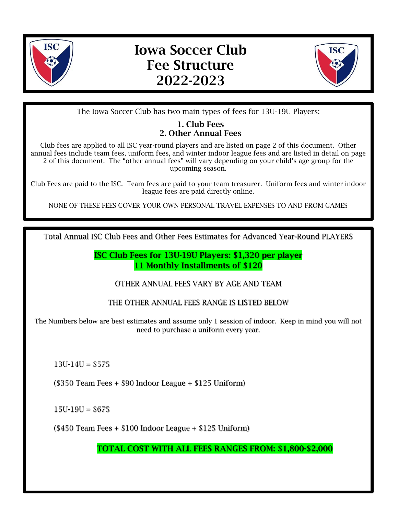

# Iowa Soccer Club Fee Structure 2022-2023



The Iowa Soccer Club has two main types of fees for 13U-19U Players:

# 1. Club Fees 2. Other Annual Fees

Club fees are applied to all ISC year-round players and are listed on page 2 of this document. Other annual fees include team fees, uniform fees, and winter indoor league fees and are listed in detail on page 2 of this document. The "other annual fees" will vary depending on your child's age group for the upcoming season.

Club Fees are paid to the ISC. Team fees are paid to your team treasurer. Uniform fees and winter indoor league fees are paid directly online.

NONE OF THESE FEES COVER YOUR OWN PERSONAL TRAVEL EXPENSES TO AND FROM GAMES

Total Annual ISC Club Fees and Other Fees Estimates for Advanced Year-Round PLAYERS

ISC Club Fees for 13U-19U Players: \$1,320 per player 11 Monthly Installments of \$120

OTHER ANNUAL FEES VARY BY AGE AND TEAM

THE OTHER ANNUAL FEES RANGE IS LISTED BELOW

The Numbers below are best estimates and assume only 1 session of indoor. Keep in mind you will not need to purchase a uniform every year.

 $13U-14U = $575$ 

(\$350 Team Fees + \$90 Indoor League + \$125 Uniform)

 $15U-19U = $675$ 

(\$450 Team Fees + \$100 Indoor League + \$125 Uniform)

TOTAL COST WITH ALL FEES RANGES FROM: \$1,800-\$2,000